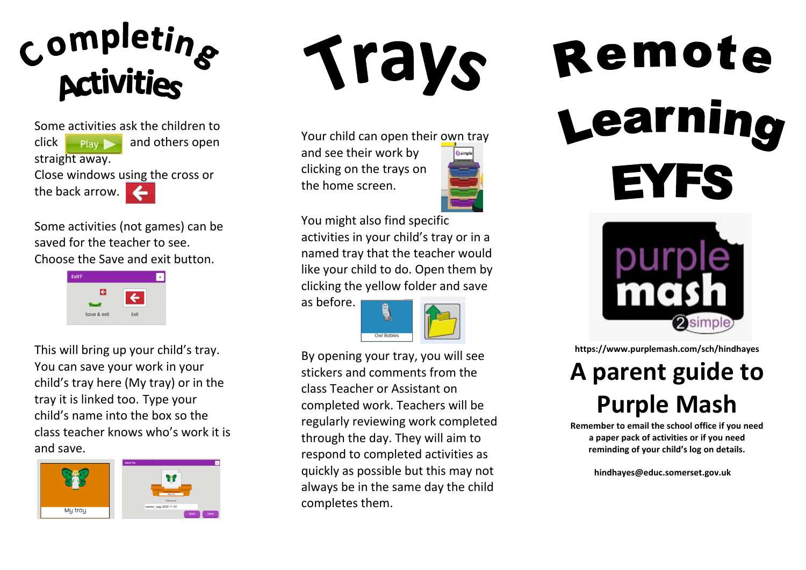

Some activities ask the children to click  $\Box$  Play  $\Box$  and others open straight away. Close windows using the cross or the back arrow.

Some activities (not games) can be saved for the teacher to see. Choose the Save and exit button.



This will bring up your child's tray. You can save your work in your child's tray here (My tray) or in the tray it is linked too. Type your child's name into the box so the class teacher knows who's work it is and save.



Trays

Your child can open their own tray and see their work by

clicking on the trays on the home screen.



You might also find specific

activities in your child's tray or in a named tray that the teacher would like your child to do. Open them by clicking the yellow folder and save

as before.



By opening your tray, you will see stickers and comments from the class Teacher or Assistant on completed work. Teachers will be regularly reviewing work completed through the day. They will aim to respond to completed activities as quickly as possible but this may not always be in the same day the child completes them.

## Remote Learnino **EYFS**



**https://www.purplemash.com/sch/hindhayes**

## **A parent guide to Purple Mash**

**Remember to email the school office if you need a paper pack of activities or if you need reminding of your child's log on details.**

 **hindhayes@educ.somerset.gov.uk**